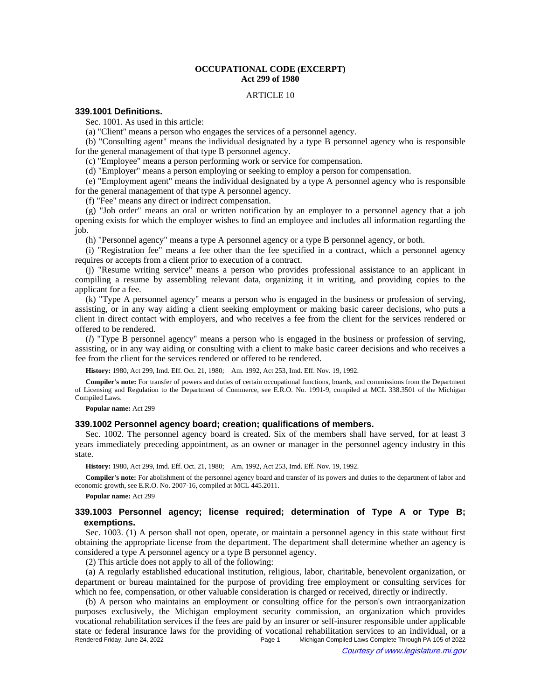## **OCCUPATIONAL CODE (EXCERPT) Act 299 of 1980**

#### ARTICLE 10

## **339.1001 Definitions.**

Sec. 1001. As used in this article:

(a) "Client" means a person who engages the services of a personnel agency.

(b) "Consulting agent" means the individual designated by a type B personnel agency who is responsible for the general management of that type B personnel agency.

(c) "Employee" means a person performing work or service for compensation.

(d) "Employer" means a person employing or seeking to employ a person for compensation.

(e) "Employment agent" means the individual designated by a type A personnel agency who is responsible for the general management of that type A personnel agency.

(f) "Fee" means any direct or indirect compensation.

(g) "Job order" means an oral or written notification by an employer to a personnel agency that a job opening exists for which the employer wishes to find an employee and includes all information regarding the job.

(h) "Personnel agency" means a type A personnel agency or a type B personnel agency, or both.

(i) "Registration fee" means a fee other than the fee specified in a contract, which a personnel agency requires or accepts from a client prior to execution of a contract.

(j) "Resume writing service" means a person who provides professional assistance to an applicant in compiling a resume by assembling relevant data, organizing it in writing, and providing copies to the applicant for a fee.

(k) "Type A personnel agency" means a person who is engaged in the business or profession of serving, assisting, or in any way aiding a client seeking employment or making basic career decisions, who puts a client in direct contact with employers, and who receives a fee from the client for the services rendered or offered to be rendered.

(*l*) "Type B personnel agency" means a person who is engaged in the business or profession of serving, assisting, or in any way aiding or consulting with a client to make basic career decisions and who receives a fee from the client for the services rendered or offered to be rendered.

History: 1980, Act 299, Imd. Eff. Oct. 21, 1980;—Am. 1992, Act 253, Imd. Eff. Nov. 19, 1992.

**Compiler's note:** For transfer of powers and duties of certain occupational functions, boards, and commissions from the Department of Licensing and Regulation to the Department of Commerce, see E.R.O. No. 1991-9, compiled at MCL 338.3501 of the Michigan Compiled Laws.

**Popular name:** Act 299

#### **339.1002 Personnel agency board; creation; qualifications of members.**

Sec. 1002. The personnel agency board is created. Six of the members shall have served, for at least 3 years immediately preceding appointment, as an owner or manager in the personnel agency industry in this state.

History: 1980, Act 299, Imd. Eff. Oct. 21, 1980;—Am. 1992, Act 253, Imd. Eff. Nov. 19, 1992.

**Compiler's note:** For abolishment of the personnel agency board and transfer of its powers and duties to the department of labor and economic growth, see E.R.O. No. 2007-16, compiled at MCL 445.2011.

**Popular name:** Act 299

## **339.1003 Personnel agency; license required; determination of Type A or Type B; exemptions.**

Sec. 1003. (1) A person shall not open, operate, or maintain a personnel agency in this state without first obtaining the appropriate license from the department. The department shall determine whether an agency is considered a type A personnel agency or a type B personnel agency.

(2) This article does not apply to all of the following:

(a) A regularly established educational institution, religious, labor, charitable, benevolent organization, or department or bureau maintained for the purpose of providing free employment or consulting services for which no fee, compensation, or other valuable consideration is charged or received, directly or indirectly.

(b) A person who maintains an employment or consulting office for the person's own intraorganization purposes exclusively, the Michigan employment security commission, an organization which provides vocational rehabilitation services if the fees are paid by an insurer or self-insurer responsible under applicable state or federal insurance laws for the providing of vocational rehabilitation services to an individual, or a<br>Page 1 Michigan Compiled Laws Complete Through PA 105 of 2022 Michigan Compiled Laws Complete Through PA 105 of 2022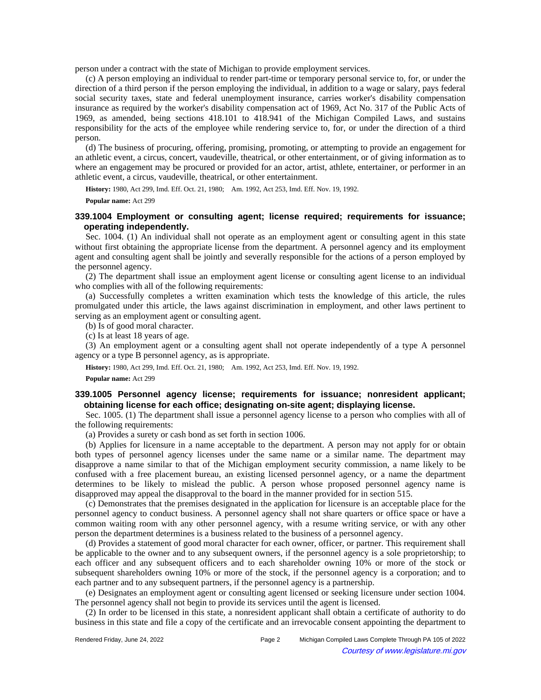person under a contract with the state of Michigan to provide employment services.

(c) A person employing an individual to render part-time or temporary personal service to, for, or under the direction of a third person if the person employing the individual, in addition to a wage or salary, pays federal social security taxes, state and federal unemployment insurance, carries worker's disability compensation insurance as required by the worker's disability compensation act of 1969, Act No. 317 of the Public Acts of 1969, as amended, being sections 418.101 to 418.941 of the Michigan Compiled Laws, and sustains responsibility for the acts of the employee while rendering service to, for, or under the direction of a third person.

(d) The business of procuring, offering, promising, promoting, or attempting to provide an engagement for an athletic event, a circus, concert, vaudeville, theatrical, or other entertainment, or of giving information as to where an engagement may be procured or provided for an actor, artist, athlete, entertainer, or performer in an athletic event, a circus, vaudeville, theatrical, or other entertainment.

History: 1980, Act 299, Imd. Eff. Oct. 21, 1980;**---**Am. 1992, Act 253, Imd. Eff. Nov. 19, 1992.

**Popular name:** Act 299

## **339.1004 Employment or consulting agent; license required; requirements for issuance; operating independently.**

Sec. 1004. (1) An individual shall not operate as an employment agent or consulting agent in this state without first obtaining the appropriate license from the department. A personnel agency and its employment agent and consulting agent shall be jointly and severally responsible for the actions of a person employed by the personnel agency.

(2) The department shall issue an employment agent license or consulting agent license to an individual who complies with all of the following requirements:

(a) Successfully completes a written examination which tests the knowledge of this article, the rules promulgated under this article, the laws against discrimination in employment, and other laws pertinent to serving as an employment agent or consulting agent.

(b) Is of good moral character.

(c) Is at least 18 years of age.

(3) An employment agent or a consulting agent shall not operate independently of a type A personnel agency or a type B personnel agency, as is appropriate.

History: 1980, Act 299, Imd. Eff. Oct. 21, 1980;-Am. 1992, Act 253, Imd. Eff. Nov. 19, 1992.

**Popular name:** Act 299

## **339.1005 Personnel agency license; requirements for issuance; nonresident applicant; obtaining license for each office; designating on-site agent; displaying license.**

Sec. 1005. (1) The department shall issue a personnel agency license to a person who complies with all of the following requirements:

(a) Provides a surety or cash bond as set forth in section 1006.

(b) Applies for licensure in a name acceptable to the department. A person may not apply for or obtain both types of personnel agency licenses under the same name or a similar name. The department may disapprove a name similar to that of the Michigan employment security commission, a name likely to be confused with a free placement bureau, an existing licensed personnel agency, or a name the department determines to be likely to mislead the public. A person whose proposed personnel agency name is disapproved may appeal the disapproval to the board in the manner provided for in section 515.

(c) Demonstrates that the premises designated in the application for licensure is an acceptable place for the personnel agency to conduct business. A personnel agency shall not share quarters or office space or have a common waiting room with any other personnel agency, with a resume writing service, or with any other person the department determines is a business related to the business of a personnel agency.

(d) Provides a statement of good moral character for each owner, officer, or partner. This requirement shall be applicable to the owner and to any subsequent owners, if the personnel agency is a sole proprietorship; to each officer and any subsequent officers and to each shareholder owning 10% or more of the stock or subsequent shareholders owning 10% or more of the stock, if the personnel agency is a corporation; and to each partner and to any subsequent partners, if the personnel agency is a partnership.

(e) Designates an employment agent or consulting agent licensed or seeking licensure under section 1004. The personnel agency shall not begin to provide its services until the agent is licensed.

(2) In order to be licensed in this state, a nonresident applicant shall obtain a certificate of authority to do business in this state and file a copy of the certificate and an irrevocable consent appointing the department to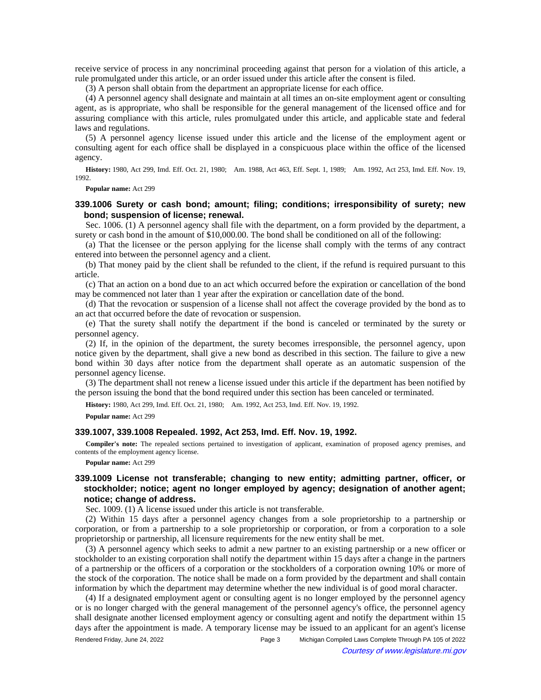receive service of process in any noncriminal proceeding against that person for a violation of this article, a rule promulgated under this article, or an order issued under this article after the consent is filed.

(3) A person shall obtain from the department an appropriate license for each office.

(4) A personnel agency shall designate and maintain at all times an on-site employment agent or consulting agent, as is appropriate, who shall be responsible for the general management of the licensed office and for assuring compliance with this article, rules promulgated under this article, and applicable state and federal laws and regulations.

(5) A personnel agency license issued under this article and the license of the employment agent or consulting agent for each office shall be displayed in a conspicuous place within the office of the licensed agency.

History: 1980, Act 299, Imd. Eff. Oct. 21, 1980;—Am. 1988, Act 463, Eff. Sept. 1, 1989;—Am. 1992, Act 253, Imd. Eff. Nov. 19, 1992.

**Popular name:** Act 299

## **339.1006 Surety or cash bond; amount; filing; conditions; irresponsibility of surety; new bond; suspension of license; renewal.**

Sec. 1006. (1) A personnel agency shall file with the department, on a form provided by the department, a surety or cash bond in the amount of \$10,000.00. The bond shall be conditioned on all of the following:

(a) That the licensee or the person applying for the license shall comply with the terms of any contract entered into between the personnel agency and a client.

(b) That money paid by the client shall be refunded to the client, if the refund is required pursuant to this article.

(c) That an action on a bond due to an act which occurred before the expiration or cancellation of the bond may be commenced not later than 1 year after the expiration or cancellation date of the bond.

(d) That the revocation or suspension of a license shall not affect the coverage provided by the bond as to an act that occurred before the date of revocation or suspension.

(e) That the surety shall notify the department if the bond is canceled or terminated by the surety or personnel agency.

(2) If, in the opinion of the department, the surety becomes irresponsible, the personnel agency, upon notice given by the department, shall give a new bond as described in this section. The failure to give a new bond within 30 days after notice from the department shall operate as an automatic suspension of the personnel agency license.

(3) The department shall not renew a license issued under this article if the department has been notified by the person issuing the bond that the bond required under this section has been canceled or terminated.

History: 1980, Act 299, Imd. Eff. Oct. 21, 1980;-Am. 1992, Act 253, Imd. Eff. Nov. 19, 1992.

**Popular name:** Act 299

### **339.1007, 339.1008 Repealed. 1992, Act 253, Imd. Eff. Nov. 19, 1992.**

**Compiler's note:** The repealed sections pertained to investigation of applicant, examination of proposed agency premises, and contents of the employment agency license.

**Popular name:** Act 299

# **339.1009 License not transferable; changing to new entity; admitting partner, officer, or stockholder; notice; agent no longer employed by agency; designation of another agent; notice; change of address.**

Sec. 1009. (1) A license issued under this article is not transferable.

(2) Within 15 days after a personnel agency changes from a sole proprietorship to a partnership or corporation, or from a partnership to a sole proprietorship or corporation, or from a corporation to a sole proprietorship or partnership, all licensure requirements for the new entity shall be met.

(3) A personnel agency which seeks to admit a new partner to an existing partnership or a new officer or stockholder to an existing corporation shall notify the department within 15 days after a change in the partners of a partnership or the officers of a corporation or the stockholders of a corporation owning 10% or more of the stock of the corporation. The notice shall be made on a form provided by the department and shall contain information by which the department may determine whether the new individual is of good moral character.

(4) If a designated employment agent or consulting agent is no longer employed by the personnel agency or is no longer charged with the general management of the personnel agency's office, the personnel agency shall designate another licensed employment agency or consulting agent and notify the department within 15 days after the appointment is made. A temporary license may be issued to an applicant for an agent's license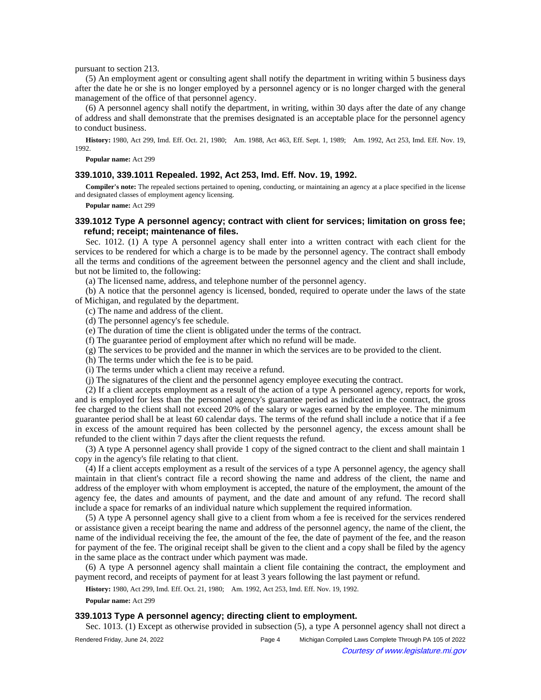pursuant to section 213.

(5) An employment agent or consulting agent shall notify the department in writing within 5 business days after the date he or she is no longer employed by a personnel agency or is no longer charged with the general management of the office of that personnel agency.

(6) A personnel agency shall notify the department, in writing, within 30 days after the date of any change of address and shall demonstrate that the premises designated is an acceptable place for the personnel agency to conduct business.

History: 1980, Act 299, Imd. Eff. Oct. 21, 1980;—Am. 1988, Act 463, Eff. Sept. 1, 1989;—Am. 1992, Act 253, Imd. Eff. Nov. 19, 1992.

**Popular name:** Act 299

### **339.1010, 339.1011 Repealed. 1992, Act 253, Imd. Eff. Nov. 19, 1992.**

**Compiler's note:** The repealed sections pertained to opening, conducting, or maintaining an agency at a place specified in the license and designated classes of employment agency licensing.

**Popular name:** Act 299

## **339.1012 Type A personnel agency; contract with client for services; limitation on gross fee; refund; receipt; maintenance of files.**

Sec. 1012. (1) A type A personnel agency shall enter into a written contract with each client for the services to be rendered for which a charge is to be made by the personnel agency. The contract shall embody all the terms and conditions of the agreement between the personnel agency and the client and shall include, but not be limited to, the following:

(a) The licensed name, address, and telephone number of the personnel agency.

(b) A notice that the personnel agency is licensed, bonded, required to operate under the laws of the state of Michigan, and regulated by the department.

(c) The name and address of the client.

- (d) The personnel agency's fee schedule.
- (e) The duration of time the client is obligated under the terms of the contract.
- (f) The guarantee period of employment after which no refund will be made.
- (g) The services to be provided and the manner in which the services are to be provided to the client.
- (h) The terms under which the fee is to be paid.
- (i) The terms under which a client may receive a refund.
- (j) The signatures of the client and the personnel agency employee executing the contract.

(2) If a client accepts employment as a result of the action of a type A personnel agency, reports for work, and is employed for less than the personnel agency's guarantee period as indicated in the contract, the gross fee charged to the client shall not exceed 20% of the salary or wages earned by the employee. The minimum guarantee period shall be at least 60 calendar days. The terms of the refund shall include a notice that if a fee in excess of the amount required has been collected by the personnel agency, the excess amount shall be refunded to the client within 7 days after the client requests the refund.

(3) A type A personnel agency shall provide 1 copy of the signed contract to the client and shall maintain 1 copy in the agency's file relating to that client.

(4) If a client accepts employment as a result of the services of a type A personnel agency, the agency shall maintain in that client's contract file a record showing the name and address of the client, the name and address of the employer with whom employment is accepted, the nature of the employment, the amount of the agency fee, the dates and amounts of payment, and the date and amount of any refund. The record shall include a space for remarks of an individual nature which supplement the required information.

(5) A type A personnel agency shall give to a client from whom a fee is received for the services rendered or assistance given a receipt bearing the name and address of the personnel agency, the name of the client, the name of the individual receiving the fee, the amount of the fee, the date of payment of the fee, and the reason for payment of the fee. The original receipt shall be given to the client and a copy shall be filed by the agency in the same place as the contract under which payment was made.

(6) A type A personnel agency shall maintain a client file containing the contract, the employment and payment record, and receipts of payment for at least 3 years following the last payment or refund.

History: 1980, Act 299, Imd. Eff. Oct. 21, 1980;-Am. 1992, Act 253, Imd. Eff. Nov. 19, 1992.

**Popular name:** Act 299

## **339.1013 Type A personnel agency; directing client to employment.**

Sec. 1013. (1) Except as otherwise provided in subsection (5), a type A personnel agency shall not direct a

| Rendered Friday, June 24, 2022 | Page 4 | Michigan Compiled Laws Complete Through PA 105 of 2022 |  |
|--------------------------------|--------|--------------------------------------------------------|--|
|--------------------------------|--------|--------------------------------------------------------|--|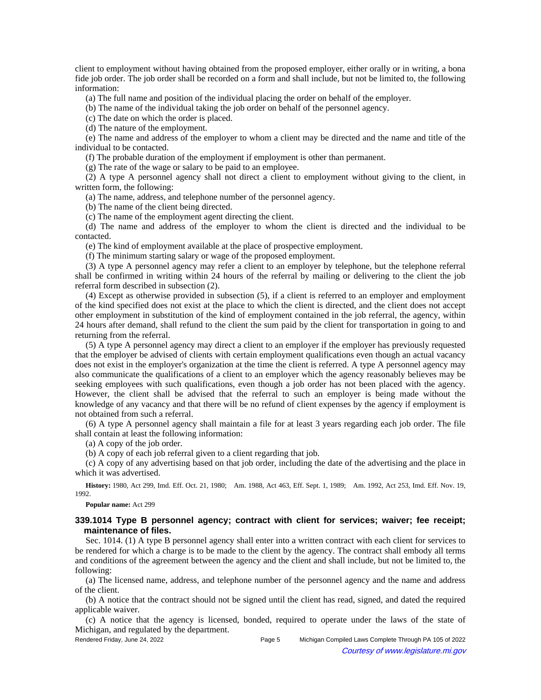client to employment without having obtained from the proposed employer, either orally or in writing, a bona fide job order. The job order shall be recorded on a form and shall include, but not be limited to, the following information:

(a) The full name and position of the individual placing the order on behalf of the employer.

(b) The name of the individual taking the job order on behalf of the personnel agency.

(c) The date on which the order is placed.

(d) The nature of the employment.

(e) The name and address of the employer to whom a client may be directed and the name and title of the individual to be contacted.

(f) The probable duration of the employment if employment is other than permanent.

(g) The rate of the wage or salary to be paid to an employee.

(2) A type A personnel agency shall not direct a client to employment without giving to the client, in written form, the following:

(a) The name, address, and telephone number of the personnel agency.

(b) The name of the client being directed.

(c) The name of the employment agent directing the client.

(d) The name and address of the employer to whom the client is directed and the individual to be contacted.

(e) The kind of employment available at the place of prospective employment.

(f) The minimum starting salary or wage of the proposed employment.

(3) A type A personnel agency may refer a client to an employer by telephone, but the telephone referral shall be confirmed in writing within 24 hours of the referral by mailing or delivering to the client the job referral form described in subsection (2).

(4) Except as otherwise provided in subsection (5), if a client is referred to an employer and employment of the kind specified does not exist at the place to which the client is directed, and the client does not accept other employment in substitution of the kind of employment contained in the job referral, the agency, within 24 hours after demand, shall refund to the client the sum paid by the client for transportation in going to and returning from the referral.

(5) A type A personnel agency may direct a client to an employer if the employer has previously requested that the employer be advised of clients with certain employment qualifications even though an actual vacancy does not exist in the employer's organization at the time the client is referred. A type A personnel agency may also communicate the qualifications of a client to an employer which the agency reasonably believes may be seeking employees with such qualifications, even though a job order has not been placed with the agency. However, the client shall be advised that the referral to such an employer is being made without the knowledge of any vacancy and that there will be no refund of client expenses by the agency if employment is not obtained from such a referral.

(6) A type A personnel agency shall maintain a file for at least 3 years regarding each job order. The file shall contain at least the following information:

(a) A copy of the job order.

(b) A copy of each job referral given to a client regarding that job.

(c) A copy of any advertising based on that job order, including the date of the advertising and the place in which it was advertised.

History: 1980, Act 299, Imd. Eff. Oct. 21, 1980;—Am. 1988, Act 463, Eff. Sept. 1, 1989;—Am. 1992, Act 253, Imd. Eff. Nov. 19, 1992.

**Popular name:** Act 299

# **339.1014 Type B personnel agency; contract with client for services; waiver; fee receipt; maintenance of files.**

Sec. 1014. (1) A type B personnel agency shall enter into a written contract with each client for services to be rendered for which a charge is to be made to the client by the agency. The contract shall embody all terms and conditions of the agreement between the agency and the client and shall include, but not be limited to, the following:

(a) The licensed name, address, and telephone number of the personnel agency and the name and address of the client.

(b) A notice that the contract should not be signed until the client has read, signed, and dated the required applicable waiver.

(c) A notice that the agency is licensed, bonded, required to operate under the laws of the state of Michigan, and regulated by the department.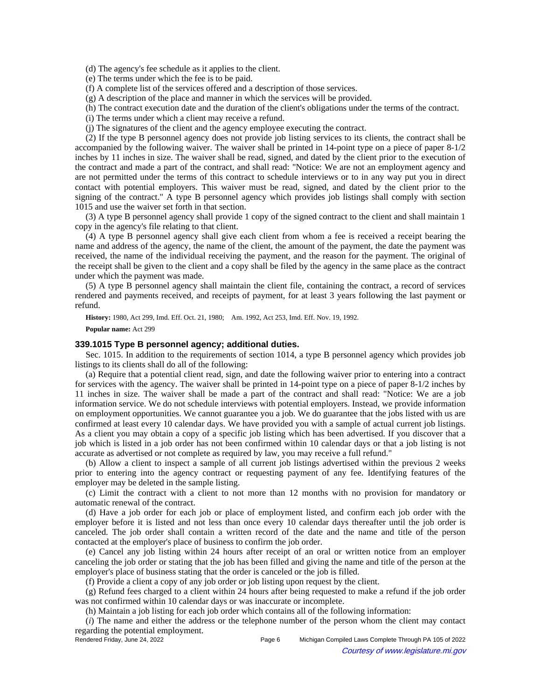(d) The agency's fee schedule as it applies to the client.

(e) The terms under which the fee is to be paid.

(f) A complete list of the services offered and a description of those services.

(g) A description of the place and manner in which the services will be provided.

(h) The contract execution date and the duration of the client's obligations under the terms of the contract.

(i) The terms under which a client may receive a refund.

(j) The signatures of the client and the agency employee executing the contract.

(2) If the type B personnel agency does not provide job listing services to its clients, the contract shall be accompanied by the following waiver. The waiver shall be printed in 14-point type on a piece of paper 8-1/2 inches by 11 inches in size. The waiver shall be read, signed, and dated by the client prior to the execution of the contract and made a part of the contract, and shall read: "Notice: We are not an employment agency and are not permitted under the terms of this contract to schedule interviews or to in any way put you in direct contact with potential employers. This waiver must be read, signed, and dated by the client prior to the signing of the contract." A type B personnel agency which provides job listings shall comply with section 1015 and use the waiver set forth in that section.

(3) A type B personnel agency shall provide 1 copy of the signed contract to the client and shall maintain 1 copy in the agency's file relating to that client.

(4) A type B personnel agency shall give each client from whom a fee is received a receipt bearing the name and address of the agency, the name of the client, the amount of the payment, the date the payment was received, the name of the individual receiving the payment, and the reason for the payment. The original of the receipt shall be given to the client and a copy shall be filed by the agency in the same place as the contract under which the payment was made.

(5) A type B personnel agency shall maintain the client file, containing the contract, a record of services rendered and payments received, and receipts of payment, for at least 3 years following the last payment or refund.

History: 1980, Act 299, Imd. Eff. Oct. 21, 1980;—Am. 1992, Act 253, Imd. Eff. Nov. 19, 1992.

**Popular name:** Act 299

### **339.1015 Type B personnel agency; additional duties.**

Sec. 1015. In addition to the requirements of section 1014, a type B personnel agency which provides job listings to its clients shall do all of the following:

(a) Require that a potential client read, sign, and date the following waiver prior to entering into a contract for services with the agency. The waiver shall be printed in 14-point type on a piece of paper 8-1/2 inches by 11 inches in size. The waiver shall be made a part of the contract and shall read: "Notice: We are a job information service. We do not schedule interviews with potential employers. Instead, we provide information on employment opportunities. We cannot guarantee you a job. We do guarantee that the jobs listed with us are confirmed at least every 10 calendar days. We have provided you with a sample of actual current job listings. As a client you may obtain a copy of a specific job listing which has been advertised. If you discover that a job which is listed in a job order has not been confirmed within 10 calendar days or that a job listing is not accurate as advertised or not complete as required by law, you may receive a full refund."

(b) Allow a client to inspect a sample of all current job listings advertised within the previous 2 weeks prior to entering into the agency contract or requesting payment of any fee. Identifying features of the employer may be deleted in the sample listing.

(c) Limit the contract with a client to not more than 12 months with no provision for mandatory or automatic renewal of the contract.

(d) Have a job order for each job or place of employment listed, and confirm each job order with the employer before it is listed and not less than once every 10 calendar days thereafter until the job order is canceled. The job order shall contain a written record of the date and the name and title of the person contacted at the employer's place of business to confirm the job order.

(e) Cancel any job listing within 24 hours after receipt of an oral or written notice from an employer canceling the job order or stating that the job has been filled and giving the name and title of the person at the employer's place of business stating that the order is canceled or the job is filled.

(f) Provide a client a copy of any job order or job listing upon request by the client.

(g) Refund fees charged to a client within 24 hours after being requested to make a refund if the job order was not confirmed within 10 calendar days or was inaccurate or incomplete.

(h) Maintain a job listing for each job order which contains all of the following information:

(*i*) The name and either the address or the telephone number of the person whom the client may contact regarding the potential employment.

Rendered Friday, June 24, 2022 Page 6 Michigan Compiled Laws Complete Through PA 105 of 2022 Courtesy of www.legislature.mi.gov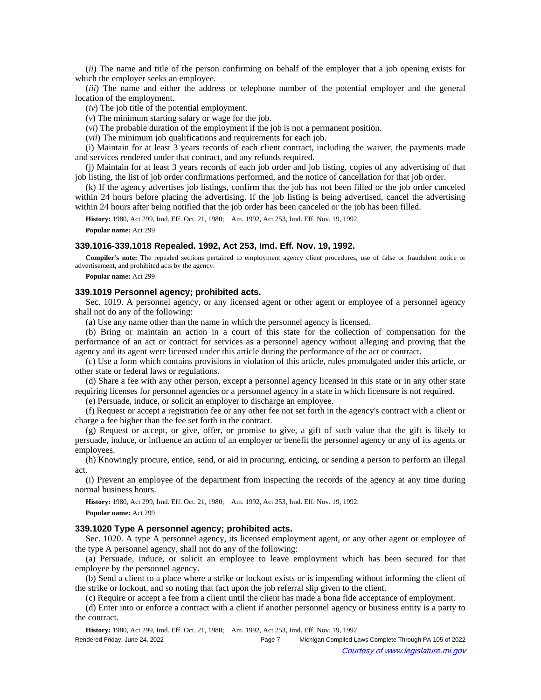(*ii*) The name and title of the person confirming on behalf of the employer that a job opening exists for which the employer seeks an employee.

(*iii*) The name and either the address or telephone number of the potential employer and the general location of the employment.

(*iv*) The job title of the potential employment.

(*v*) The minimum starting salary or wage for the job.

(*vi*) The probable duration of the employment if the job is not a permanent position.

(*vii*) The minimum job qualifications and requirements for each job.

(i) Maintain for at least 3 years records of each client contract, including the waiver, the payments made and services rendered under that contract, and any refunds required.

(j) Maintain for at least 3 years records of each job order and job listing, copies of any advertising of that job listing, the list of job order confirmations performed, and the notice of cancellation for that job order.

(k) If the agency advertises job listings, confirm that the job has not been filled or the job order canceled within 24 hours before placing the advertising. If the job listing is being advertised, cancel the advertising within 24 hours after being notified that the job order has been canceled or the job has been filled.

History: 1980, Act 299, Imd. Eff. Oct. 21, 1980;-Am. 1992, Act 253, Imd. Eff. Nov. 19, 1992.

**Popular name:** Act 299

#### **339.1016-339.1018 Repealed. 1992, Act 253, Imd. Eff. Nov. 19, 1992.**

**Compiler's note:** The repealed sections pertained to employment agency client procedures, use of false or fraudulent notice or advertisement, and prohibited acts by the agency.

**Popular name:** Act 299

## **339.1019 Personnel agency; prohibited acts.**

Sec. 1019. A personnel agency, or any licensed agent or other agent or employee of a personnel agency shall not do any of the following:

(a) Use any name other than the name in which the personnel agency is licensed.

(b) Bring or maintain an action in a court of this state for the collection of compensation for the performance of an act or contract for services as a personnel agency without alleging and proving that the agency and its agent were licensed under this article during the performance of the act or contract.

(c) Use a form which contains provisions in violation of this article, rules promulgated under this article, or other state or federal laws or regulations.

(d) Share a fee with any other person, except a personnel agency licensed in this state or in any other state requiring licenses for personnel agencies or a personnel agency in a state in which licensure is not required.

(e) Persuade, induce, or solicit an employer to discharge an employee.

(f) Request or accept a registration fee or any other fee not set forth in the agency's contract with a client or charge a fee higher than the fee set forth in the contract.

(g) Request or accept, or give, offer, or promise to give, a gift of such value that the gift is likely to persuade, induce, or influence an action of an employer or benefit the personnel agency or any of its agents or employees.

(h) Knowingly procure, entice, send, or aid in procuring, enticing, or sending a person to perform an illegal act.

(i) Prevent an employee of the department from inspecting the records of the agency at any time during normal business hours.

History: 1980, Act 299, Imd. Eff. Oct. 21, 1980;-Am. 1992, Act 253, Imd. Eff. Nov. 19, 1992.

**Popular name:** Act 299

### **339.1020 Type A personnel agency; prohibited acts.**

Sec. 1020. A type A personnel agency, its licensed employment agent, or any other agent or employee of the type A personnel agency, shall not do any of the following:

(a) Persuade, induce, or solicit an employee to leave employment which has been secured for that employee by the personnel agency.

(b) Send a client to a place where a strike or lockout exists or is impending without informing the client of the strike or lockout, and so noting that fact upon the job referral slip given to the client.

(c) Require or accept a fee from a client until the client has made a bona fide acceptance of employment.

(d) Enter into or enforce a contract with a client if another personnel agency or business entity is a party to the contract.

History: 1980, Act 299, Imd. Eff. Oct. 21, 1980;—Am. 1992, Act 253, Imd. Eff. Nov. 19, 1992.

| Rendered Friday, June 24, 2022 | Page 7 | Michigan Compiled Laws Complete Through PA 105 of 2022 |
|--------------------------------|--------|--------------------------------------------------------|
| $\odot$                        |        | Courtesy of www.legislature.mi.gov                     |